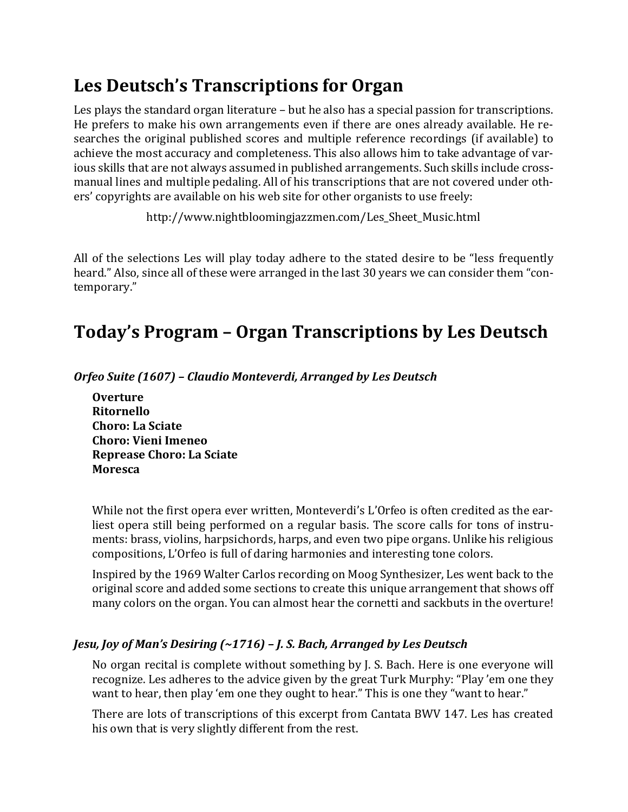# Les Deutsch's Transcriptions for Organ

Les plays the standard organ literature  $-$  but he also has a special passion for transcriptions. He prefers to make his own arrangements even if there are ones already available. He researches the original published scores and multiple reference recordings (if available) to achieve the most accuracy and completeness. This also allows him to take advantage of various skills that are not always assumed in published arrangements. Such skills include crossmanual lines and multiple pedaling. All of his transcriptions that are not covered under others' copyrights are available on his web site for other organists to use freely:

http://www.nightbloomingjazzmen.com/Les\_Sheet\_Music.html

All of the selections Les will play today adhere to the stated desire to be "less frequently heard." Also, since all of these were arranged in the last 30 years we can consider them "contemporary."

# Today's Program – Organ Transcriptions by Les Deutsch

*Orfeo Suite (1607) – Claudio Monteverdi, Arranged by Les Deutsch*

**Overture Ritornello Choro: La Sciate Choro: Vieni Imeneo Reprease Choro: La Sciate Moresca**

While not the first opera ever written, Monteverdi's L'Orfeo is often credited as the earliest opera still being performed on a regular basis. The score calls for tons of instruments: brass, violins, harpsichords, harps, and even two pipe organs. Unlike his religious compositions, L'Orfeo is full of daring harmonies and interesting tone colors.

Inspired by the 1969 Walter Carlos recording on Moog Synthesizer, Les went back to the original score and added some sections to create this unique arrangement that shows off many colors on the organ. You can almost hear the cornetti and sackbuts in the overture!

## *Jesu, Joy of Man's Desiring (~1716)* – *J. S. Bach, Arranged by Les Deutsch*

No organ recital is complete without something by J. S. Bach. Here is one everyone will recognize. Les adheres to the advice given by the great Turk Murphy: "Play 'em one they want to hear, then play 'em one they ought to hear." This is one they "want to hear."

There are lots of transcriptions of this excerpt from Cantata BWV 147. Les has created his own that is very slightly different from the rest.